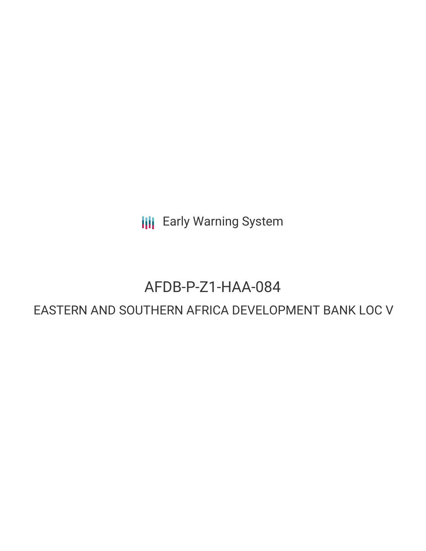**III** Early Warning System

# AFDB-P-Z1-HAA-084

# EASTERN AND SOUTHERN AFRICA DEVELOPMENT BANK LOC V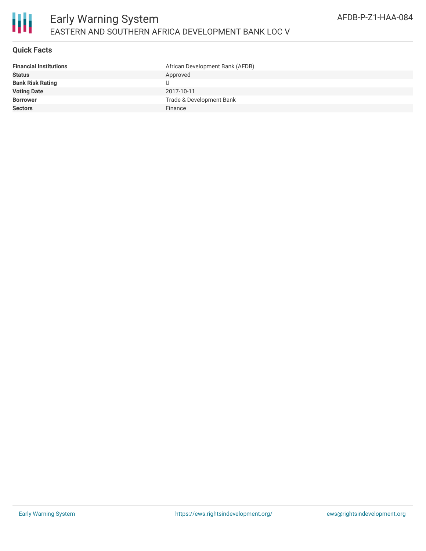

## **Quick Facts**

| <b>Financial Institutions</b> | African Development Bank (AFDB) |
|-------------------------------|---------------------------------|
| Status                        | Approved                        |
| <b>Bank Risk Rating</b>       |                                 |
| <b>Voting Date</b>            | 2017-10-11                      |
| <b>Borrower</b>               | Trade & Development Bank        |
| <b>Sectors</b>                | Finance                         |
|                               |                                 |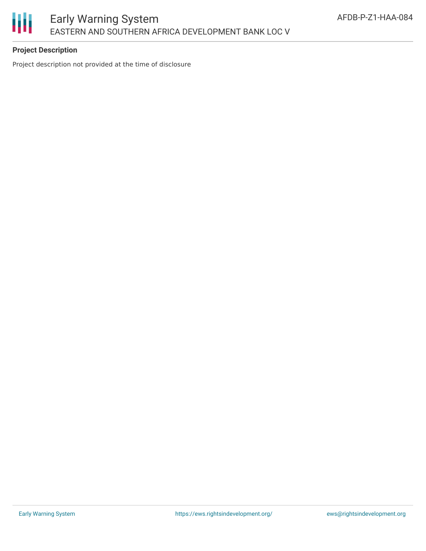

# **Project Description**

Project description not provided at the time of disclosure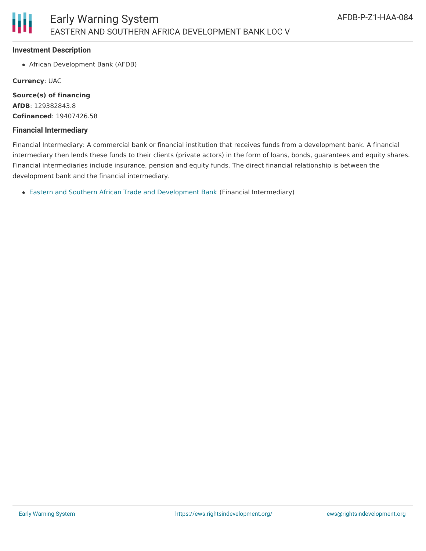#### **Investment Description**

African Development Bank (AFDB)

**Currency**: UAC

**Source(s) of financing AfDB**: 129382843.8 **Cofinanced**: 19407426.58

## **Financial Intermediary**

Financial Intermediary: A commercial bank or financial institution that receives funds from a development bank. A financial intermediary then lends these funds to their clients (private actors) in the form of loans, bonds, guarantees and equity shares. Financial intermediaries include insurance, pension and equity funds. The direct financial relationship is between the development bank and the financial intermediary.

Eastern and Southern African Trade and [Development](file:///actor/1541/) Bank (Financial Intermediary)